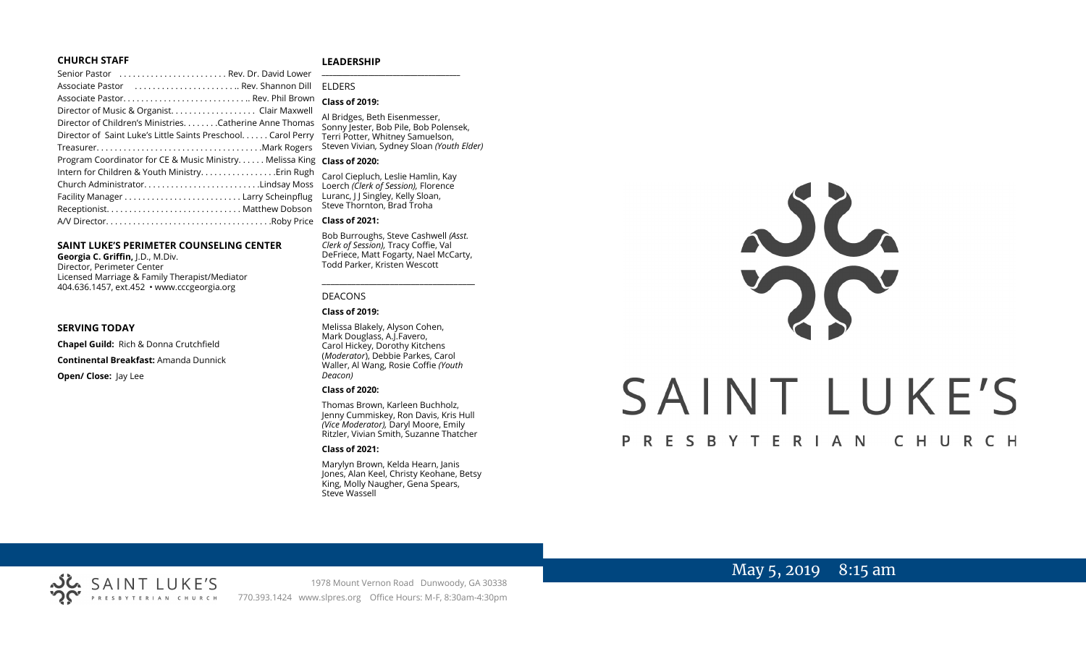#### **CHURCH STAFF**

#### **LEADERSHIP**

| Senior Pastor  Rev. Dr. David Lower                                     |                                                                     |
|-------------------------------------------------------------------------|---------------------------------------------------------------------|
|                                                                         | <b>FLDERS</b>                                                       |
|                                                                         | <b>Class of 2019:</b>                                               |
| Director of Music & Organist. Clair Maxwell                             |                                                                     |
| Director of Children's MinistriesCatherine Anne Thomas                  | Al Bridges, Beth Eisenmesser,<br>Sonny Jester, Bob Pile, Bob Polens |
| Director of Saint Luke's Little Saints Preschool. Carol Perry           | Terri Potter, Whitney Samuelson,                                    |
|                                                                         | Steven Vivian, Sydney Sloan (Youth                                  |
| Program Coordinator for CE & Music Ministry Melissa King Class of 2020: |                                                                     |
| Intern for Children & Youth Ministry Erin Rugh                          | Carol Ciepluch, Leslie Hamlin, Kay                                  |
| Church AdministratorLindsay Moss                                        | Loerch (Clerk of Session), Florence                                 |
|                                                                         | Luranc, J J Singley, Kelly Sloan,                                   |
|                                                                         | Steve Thornton, Brad Troha                                          |
|                                                                         | <b>Class of 2021:</b>                                               |

#### **SAINT LUKE'S PERIMETER COUNSELING CENTER**

**Georgia C. Griffin,** J.D., M.Div. Director, Perimeter Center Licensed Marriage & Family Therapist/Mediator 404.636.1457, ext.452 • www.cccgeorgia.org

#### **SERVING TODAY**

**Chapel Guild:** Rich & Donna Crutchfield **Continental Breakfast:** Amanda Dunnick **Open/ Close: Jay Lee** 

# ELDERS

# **Class of 2019:**

Bridges, Beth Eisenmesser, Sonny Jester, Bob Pile, Bob Polensek, erri Potter, Whitney Samuelson, Steven Vivian*,* Sydney Sloan *(Youth Elder)*

#### **Class of 2020:**

#### **Class of 2021:**

Bob Burroughs, Steve Cashwell *(Asst. Clerk of Session),* Tracy Coffie, Val DeFriece, Matt Fogarty, Nael McCarty, Todd Parker, Kristen Wescott

\_\_\_\_\_\_\_\_\_\_\_\_\_\_\_\_\_\_\_\_\_\_\_\_\_\_\_\_\_\_\_\_\_\_\_\_

#### DEACONS

#### **Class of 2019:**

Melissa Blakely, Alyson Cohen, Mark Douglass, A.J.Favero, Carol Hickey, Dorothy Kitchens (*Moderator*), Debbie Parkes, Carol Waller, Al Wang, Rosie Coffie *(Youth Deacon)* 

#### **Class of 2020:**

Thomas Brown, Karleen Buchholz, Jenny Cummiskey, Ron Davis, Kris Hull *(Vice Moderator),* Daryl Moore, Emily Ritzler, Vivian Smith, Suzanne Thatcher

#### **Class of 2021:**

Marylyn Brown, Kelda Hearn, Janis Jones, Alan Keel, Christy Keohane, Betsy King, Molly Naugher, Gena Spears, Steve Wassell



# May 5, 2019 8:15 am



1978 Mount Vernon Road Dunwoody, GA 30338 PRESBYTERIAN CHURCH 770.393.1424 www.slpres.org Office Hours: M-F, 8:30am-4:30pm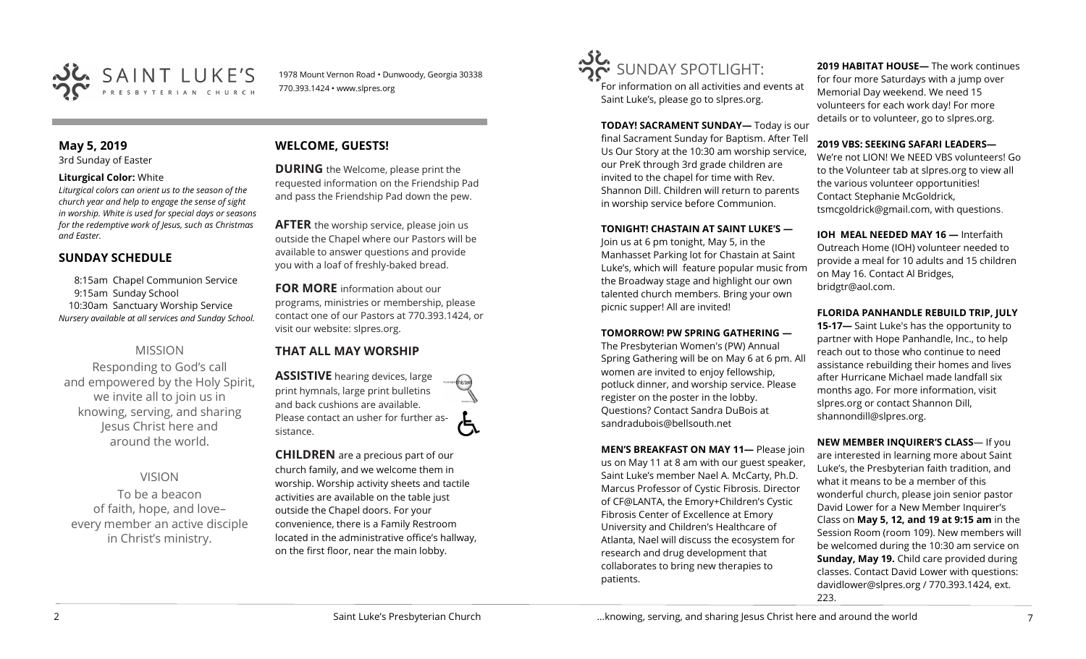

1978 Mount Vernon Road • Dunwoody, Georgia 30338 770.393.1424 • www.slpres.org

# **May 5, 2019**

3rd Sunday of Easter

#### **Liturgical Color:** White

*Liturgical colors can orient us to the season of the church year and help to engage the sense of sight in worship. White is used for special days or seasons for the redemptive work of Jesus, such as Christmas and Easter.*

# **SUNDAY SCHEDULE**

8:15am Chapel Communion Service 9:15am Sunday School 10:30am Sanctuary Worship Service *Nursery available at all services and Sunday School.* 

# MISSION

Responding to God's call and empowered by the Holy Spirit, we invite all to join us in knowing, serving, and sharing Jesus Christ here and around the world.

# VISION

To be a beacon of faith, hope, and love– every member an active disciple in Christ's ministry.

# **WELCOME, GUESTS!**

**DURING** the Welcome, please print the requested information on the Friendship Pad and pass the Friendship Pad down the pew.

**AFTER** the worship service, please join us outside the Chapel where our Pastors will be available to answer questions and provide you with a loaf of freshly-baked bread.

**FOR MORE** information about our programs, ministries or membership, please contact one of our Pastors at 770.393.1424, or visit our website: slpres.org.

# **THAT ALL MAY WORSHIP**

**ASSISTIVE** hearing devices, large print hymnals, large print bulletins and back cushions are available. Please contact an usher for further assistance.

**CHILDREN** are a precious part of our church family, and we welcome them in worship. Worship activity sheets and tactile activities are available on the table just outside the Chapel doors. For your convenience, there is a Family Restroom located in the administrative office's hallway, on the first floor, near the main lobby.



For information on all activities and events at Saint Luke's, please go to slpres.org.

**TODAY! SACRAMENT SUNDAY—** Today is our final Sacrament Sunday for Baptism. After Tell Us Our Story at the 10:30 am worship service, our PreK through 3rd grade children are invited to the chapel for time with Rev. Shannon Dill. Children will return to parents in worship service before Communion.

#### **TONIGHT! CHASTAIN AT SAINT LUKE'S —**

Join us at 6 pm tonight, May 5, in the Manhasset Parking lot for Chastain at Saint Luke's, which will feature popular music from the Broadway stage and highlight our own talented church members. Bring your own picnic supper! All are invited!

#### **TOMORROW! PW SPRING GATHERING —**

The Presbyterian Women's (PW) Annual Spring Gathering will be on May 6 at 6 pm. All women are invited to enjoy fellowship, potluck dinner, and worship service. Please register on the poster in the lobby. Questions? Contact Sandra DuBois at [sandradubois@bellsouth.net](mailto:sandradubois@bellsouth.net)

**MEN'S BREAKFAST ON MAY 11—** Please join us on May 11 at 8 am with our guest speaker, Saint Luke's member Nael A. McCarty, Ph.D. Marcus Professor of Cystic Fibrosis. Director of CF@LANTA, the Emory+Children's Cystic Fibrosis Center of Excellence at Emory University and Children's Healthcare of Atlanta, Nael will discuss the ecosystem for research and drug development that collaborates to bring new therapies to patients.

**2019 HABITAT HOUSE—** The work continues for four more Saturdays with a jump over Memorial Day weekend. We need 15 volunteers for each work day! For more details or to volunteer, go to slpres.org.

#### **2019 VBS: SEEKING SAFARI LEADERS—**

We're not LION! We NEED VBS volunteers! Go to the Volunteer tab at slpres.org to view all the various volunteer opportunities! Contact Stephanie McGoldrick, tsmcgoldrick@gmail.com, with questions.

**IOH MEAL NEEDED MAY 16 —** Interfaith Outreach Home (IOH) volunteer needed to provide a meal for 10 adults and 15 children on May 16. Contact Al Bridges, bridgtr@aol.com.

#### **FLORIDA PANHANDLE REBUILD TRIP, JULY**

**15-17—** Saint Luke's has the opportunity to partner with Hope Panhandle, Inc., to help reach out to those who continue to need assistance rebuilding their homes and lives after Hurricane Michael made landfall six months ago. For more information, visit slpres.org or contact Shannon Dill, shannondill@slpres.org.

**NEW MEMBER INQUIRER'S CLASS**— If you are interested in learning more about Saint Luke's, the Presbyterian faith tradition, and what it means to be a member of this wonderful church, please join senior pastor David Lower for a New Member Inquirer's Class on **May 5, 12, and 19 at 9:15 am** in the Session Room (room 109). New members will be welcomed during the 10:30 am service on **Sunday, May 19.** Child care provided during classes. Contact David Lower with questions: davidlower@slpres.org / 770.393.1424, ext. 223.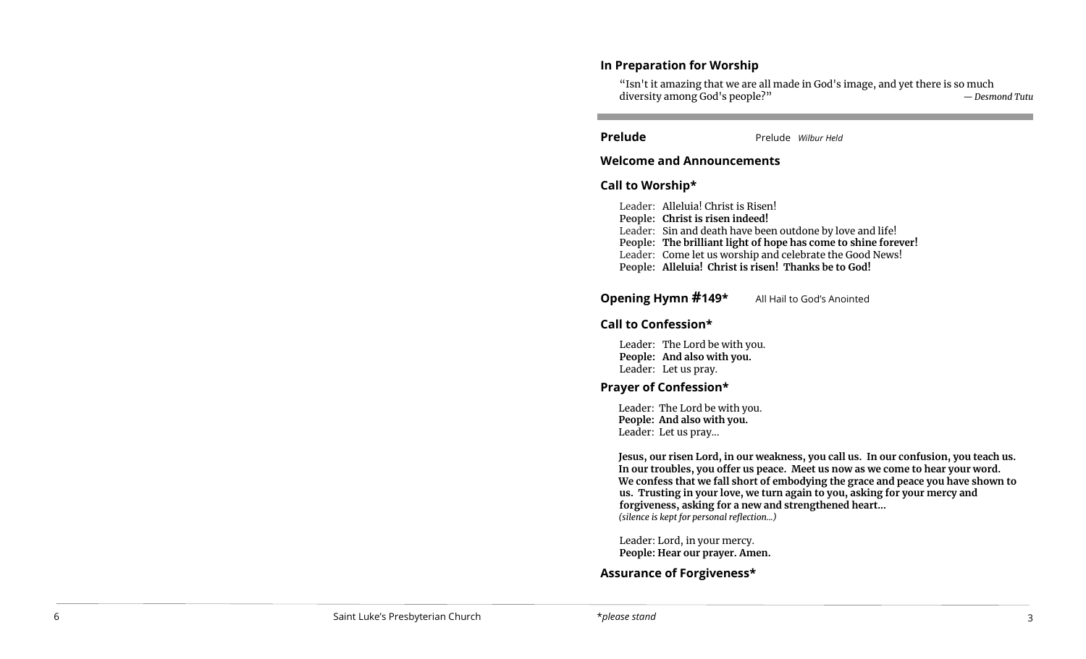## **In Preparation for Worship**

"Isn't it amazing that we are all made in God's image, and yet there is so much diversity among God's people?" *— Desmond Tutu*

l

**Prelude** Prelude *Wilbur Held* 

## **Welcome and Announcements**

l,

# **Call to Worship\***

Leader: Alleluia! Christ is Risen! **People: Christ is risen indeed!** Leader: Sin and death have been outdone by love and life! **People: The brilliant light of hope has come to shine forever!** Leader: Come let us worship and celebrate the Good News! **People: Alleluia! Christ is risen! Thanks be to God!**

**Opening Hymn #149\*** All Hail to God's Anointed

# **Call to Confession\***

Leader: The Lord be with you. **People: And also with you.**  Leader: Let us pray.

# **Prayer of Confession\***

Leader: The Lord be with you. **People: And also with you.** Leader: Let us pray...

**Jesus, our risen Lord, in our weakness, you call us. In our confusion, you teach us. In our troubles, you offer us peace. Meet us now as we come to hear your word. We confess that we fall short of embodying the grace and peace you have shown to us. Trusting in your love, we turn again to you, asking for your mercy and forgiveness, asking for a new and strengthened heart...** *(silence is kept for personal reflection...)*

Leader: Lord, in your mercy. **People: Hear our prayer. Amen.**

**Assurance of Forgiveness\***